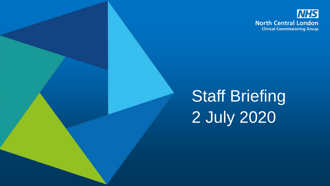

# Staff Briefing 2 July 2020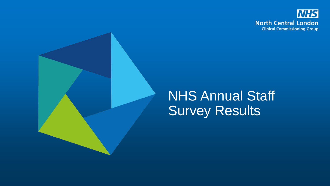

#### NHS Annual Staff Survey Results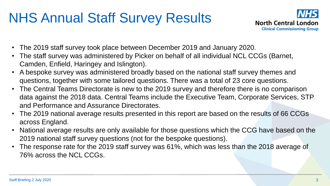# NHS Annual Staff Survey Results



- The 2019 staff survey took place between December 2019 and January 2020.
- The staff survey was administered by Picker on behalf of all individual NCL CCGs (Barnet, Camden, Enfield, Haringey and Islington).
- A bespoke survey was administered broadly based on the national staff survey themes and questions, together with some tailored questions. There was a total of 23 core questions.
- The Central Teams Directorate is new to the 2019 survey and therefore there is no comparison data against the 2018 data. Central Teams include the Executive Team, Corporate Services, STP and Performance and Assurance Directorates.
- The 2019 national average results presented in this report are based on the results of 66 CCGs across England.
- National average results are only available for those questions which the CCG have based on the 2019 national staff survey questions (not for the bespoke questions).
- The response rate for the 2019 staff survey was 61%, which was less than the 2018 average of 76% across the NCL CCGs.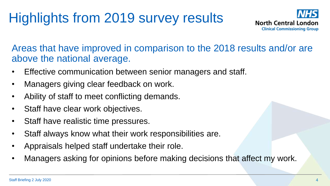# Highlights from 2019 survey results



Areas that have improved in comparison to the 2018 results and/or are above the national average.

- Effective communication between senior managers and staff.
- Managers giving clear feedback on work.
- Ability of staff to meet conflicting demands.
- Staff have clear work objectives.
- Staff have realistic time pressures.
- Staff always know what their work responsibilities are.
- Appraisals helped staff undertake their role.
- Managers asking for opinions before making decisions that affect my work.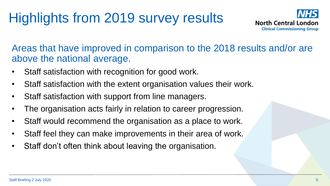# Highlights from 2019 survey results



Areas that have improved in comparison to the 2018 results and/or are above the national average.

- Staff satisfaction with recognition for good work.
- Staff satisfaction with the extent organisation values their work.
- Staff satisfaction with support from line managers.
- The organisation acts fairly in relation to career progression.
- Staff would recommend the organisation as a place to work.
- Staff feel they can make improvements in their area of work.
- Staff don't often think about leaving the organisation.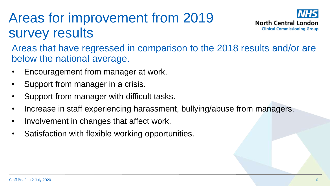# Areas for improvement from 2019 survey results



Areas that have regressed in comparison to the 2018 results and/or are below the national average.

- Encouragement from manager at work.
- Support from manager in a crisis.
- Support from manager with difficult tasks.
- Increase in staff experiencing harassment, bullying/abuse from managers.
- Involvement in changes that affect work.
- Satisfaction with flexible working opportunities.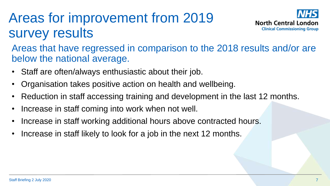# Areas for improvement from 2019 survey results



Areas that have regressed in comparison to the 2018 results and/or are below the national average.

- Staff are often/always enthusiastic about their job.
- Organisation takes positive action on health and wellbeing.
- Reduction in staff accessing training and development in the last 12 months.
- Increase in staff coming into work when not well.
- Increase in staff working additional hours above contracted hours.
- Increase in staff likely to look for a job in the next 12 months.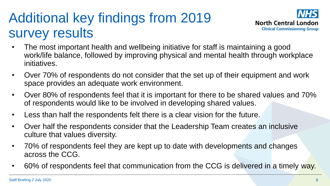## Additional key findings from 2019 survey results



- The most important health and wellbeing initiative for staff is maintaining a good work/life balance, followed by improving physical and mental health through workplace initiatives.
- Over 70% of respondents do not consider that the set up of their equipment and work space provides an adequate work environment.
- Over 80% of respondents feel that it is important for there to be shared values and 70% of respondents would like to be involved in developing shared values.
- Less than half the respondents felt there is a clear vision for the future.
- Over half the respondents consider that the Leadership Team creates an inclusive culture that values diversity.
- 70% of respondents feel they are kept up to date with developments and changes across the CCG.
- 60% of respondents feel that communication from the CCG is delivered in a timely way.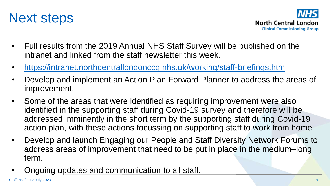



- Full results from the 2019 Annual NHS Staff Survey will be published on the intranet and linked from the staff newsletter this week.
- <https://intranet.northcentrallondonccg.nhs.uk/working/staff-briefings.htm>
- Develop and implement an Action Plan Forward Planner to address the areas of improvement.
- Some of the areas that were identified as requiring improvement were also identified in the supporting staff during Covid-19 survey and therefore will be addressed imminently in the short term by the supporting staff during Covid-19 action plan, with these actions focussing on supporting staff to work from home.
- Develop and launch Engaging our People and Staff Diversity Network Forums to address areas of improvement that need to be put in place in the medium–long term.
- Ongoing updates and communication to all staff.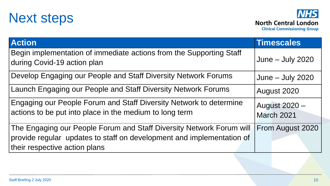



| <b>Action</b>                                                                                                                 | Timescales                         |
|-------------------------------------------------------------------------------------------------------------------------------|------------------------------------|
| Begin implementation of immediate actions from the Supporting Staff<br>during Covid-19 action plan                            | June $-$ July 2020                 |
| Develop Engaging our People and Staff Diversity Network Forums                                                                | June - July 2020                   |
| Launch Engaging our People and Staff Diversity Network Forums                                                                 | August 2020                        |
| Engaging our People Forum and Staff Diversity Network to determine<br>actions to be put into place in the medium to long term | August 2020 -<br><b>March 2021</b> |
| The Engaging our People Forum and Staff Diversity Network Forum will                                                          | From August 2020                   |
| provide regular updates to staff on development and implementation of<br>their respective action plans                        |                                    |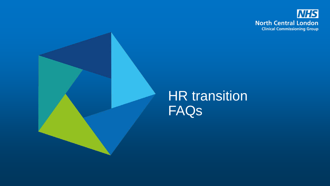



#### HR transition FAQs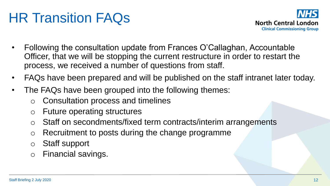# HR Transition FAQs



- Following the consultation update from Frances O'Callaghan, Accountable Officer, that we will be stopping the current restructure in order to restart the process, we received a number of questions from staff.
- FAQs have been prepared and will be published on the staff intranet later today.
- The FAQs have been grouped into the following themes:
	- o Consultation process and timelines
	- o Future operating structures
	- Staff on secondments/fixed term contracts/interim arrangements
	- o Recruitment to posts during the change programme
	- o Staff support
	- o Financial savings.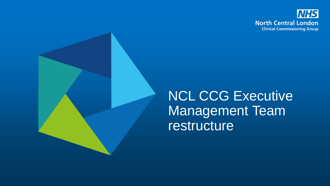

# NCL CCG Executive Management Team restructure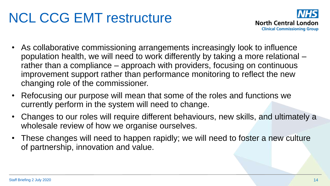

- As collaborative commissioning arrangements increasingly look to influence population health, we will need to work differently by taking a more relational – rather than a compliance – approach with providers, focusing on continuous improvement support rather than performance monitoring to reflect the new changing role of the commissioner.
- Refocusing our purpose will mean that some of the roles and functions we currently perform in the system will need to change.
- Changes to our roles will require different behaviours, new skills, and ultimately a wholesale review of how we organise ourselves.
- These changes will need to happen rapidly; we will need to foster a new culture of partnership, innovation and value.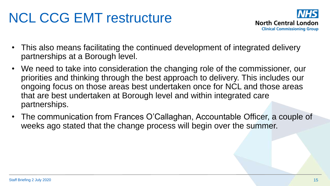

- This also means facilitating the continued development of integrated delivery partnerships at a Borough level.
- We need to take into consideration the changing role of the commissioner, our priorities and thinking through the best approach to delivery. This includes our ongoing focus on those areas best undertaken once for NCL and those areas that are best undertaken at Borough level and within integrated care partnerships.
- The communication from Frances O'Callaghan, Accountable Officer, a couple of weeks ago stated that the change process will begin over the summer.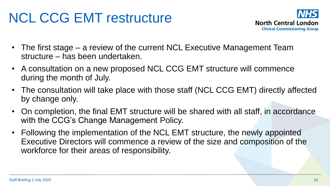

- The first stage a review of the current NCL Executive Management Team structure – has been undertaken.
- A consultation on a new proposed NCL CCG EMT structure will commence during the month of July.
- The consultation will take place with those staff (NCL CCG EMT) directly affected by change only.
- On completion, the final EMT structure will be shared with all staff, in accordance with the CCG's Change Management Policy.
- Following the implementation of the NCL EMT structure, the newly appointed Executive Directors will commence a review of the size and composition of the workforce for their areas of responsibility.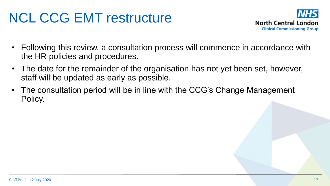

- Following this review, a consultation process will commence in accordance with the HR policies and procedures.
- The date for the remainder of the organisation has not yet been set, however, staff will be updated as early as possible.
- The consultation period will be in line with the CCG's Change Management Policy.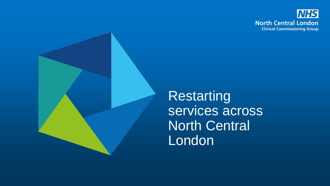



**Restarting** services across North Central London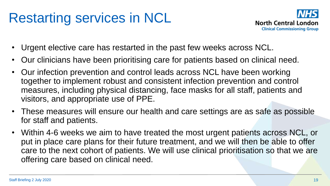#### Restarting services in NCL



- Urgent elective care has restarted in the past few weeks across NCL.
- Our clinicians have been prioritising care for patients based on clinical need.
- Our infection prevention and control leads across NCL have been working together to implement robust and consistent infection prevention and control measures, including physical distancing, face masks for all staff, patients and visitors, and appropriate use of PPE.
- These measures will ensure our health and care settings are as safe as possible for staff and patients.
- Within 4-6 weeks we aim to have treated the most urgent patients across NCL, or put in place care plans for their future treatment, and we will then be able to offer care to the next cohort of patients. We will use clinical prioritisation so that we are offering care based on clinical need.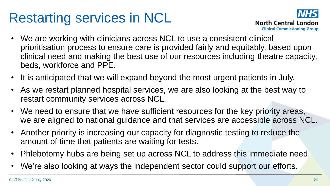## Restarting services in NCL



- We are working with clinicians across NCL to use a consistent clinical prioritisation process to ensure care is provided fairly and equitably, based upon clinical need and making the best use of our resources including theatre capacity, beds, workforce and PPE.
- It is anticipated that we will expand beyond the most urgent patients in July.
- As we restart planned hospital services, we are also looking at the best way to restart community services across NCL.
- We need to ensure that we have sufficient resources for the key priority areas, we are aligned to national guidance and that services are accessible across NCL.
- Another priority is increasing our capacity for diagnostic testing to reduce the amount of time that patients are waiting for tests.
- Phlebotomy hubs are being set up across NCL to address this immediate need.
- We're also looking at ways the independent sector could support our efforts.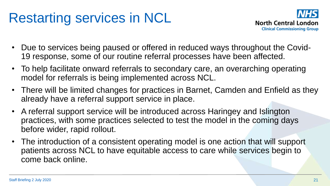#### Restarting services in NCL



- Due to services being paused or offered in reduced ways throughout the Covid-19 response, some of our routine referral processes have been affected.
- To help facilitate onward referrals to secondary care, an overarching operating model for referrals is being implemented across NCL.
- There will be limited changes for practices in Barnet, Camden and Enfield as they already have a referral support service in place.
- A referral support service will be introduced across Haringey and Islington practices, with some practices selected to test the model in the coming days before wider, rapid rollout.
- The introduction of a consistent operating model is one action that will support patients across NCL to have equitable access to care while services begin to come back online.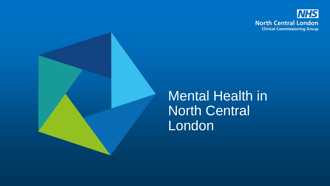



#### Mental Health in North Central London